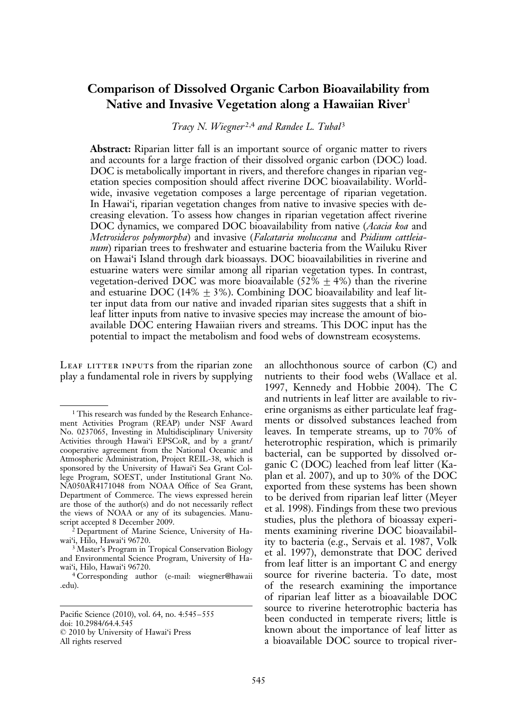# Comparison of Dissolved Organic Carbon Bioavailability from Native and Invasive Vegetation along a Hawaiian River $1$

Tracy N. Wiegner<sup>2,4</sup> and Randee L. Tubal<sup>3</sup>

Abstract: Riparian litter fall is an important source of organic matter to rivers and accounts for a large fraction of their dissolved organic carbon (DOC) load. DOC is metabolically important in rivers, and therefore changes in riparian vegetation species composition should affect riverine DOC bioavailability. Worldwide, invasive vegetation composes a large percentage of riparian vegetation. In Hawai'i, riparian vegetation changes from native to invasive species with decreasing elevation. To assess how changes in riparian vegetation affect riverine DOC dynamics, we compared DOC bioavailability from native (Acacia koa and Metrosideros polymorpha) and invasive (Falcataria moluccana and Psidium cattleianum) riparian trees to freshwater and estuarine bacteria from the Wailuku River on Hawai'i Island through dark bioassays. DOC bioavailabilities in riverine and estuarine waters were similar among all riparian vegetation types. In contrast, vegetation-derived DOC was more bioavailable (52%  $\pm$  4%) than the riverine and estuarine DOC (14%  $\pm$  3%). Combining DOC bioavailability and leaf litter input data from our native and invaded riparian sites suggests that a shift in leaf litter inputs from native to invasive species may increase the amount of bioavailable DOC entering Hawaiian rivers and streams. This DOC input has the potential to impact the metabolism and food webs of downstream ecosystems.

LEAF LITTER INPUTS from the riparian zone play a fundamental role in rivers by supplying an allochthonous source of carbon (C) and nutrients to their food webs (Wallace et al. 1997, Kennedy and Hobbie 2004). The C and nutrients in leaf litter are available to riverine organisms as either particulate leaf fragments or dissolved substances leached from leaves. In temperate streams, up to 70% of heterotrophic respiration, which is primarily bacterial, can be supported by dissolved organic C (DOC) leached from leaf litter (Kaplan et al. 2007), and up to 30% of the DOC exported from these systems has been shown to be derived from riparian leaf litter (Meyer et al. 1998). Findings from these two previous studies, plus the plethora of bioassay experiments examining riverine DOC bioavailability to bacteria (e.g., Servais et al. 1987, Volk et al. 1997), demonstrate that DOC derived from leaf litter is an important C and energy source for riverine bacteria. To date, most of the research examining the importance of riparian leaf litter as a bioavailable DOC source to riverine heterotrophic bacteria has been conducted in temperate rivers; little is known about the importance of leaf litter as a bioavailable DOC source to tropical river-

<sup>&</sup>lt;sup>1</sup> This research was funded by the Research Enhancement Activities Program (REAP) under NSF Award No. 0237065, Investing in Multidisciplinary University Activities through Hawai'i EPSCoR, and by a grant/ cooperative agreement from the National Oceanic and Atmospheric Administration, Project REIL-38, which is sponsored by the University of Hawai'i Sea Grant College Program, SOEST, under Institutional Grant No. NA050AR4171048 from NOAA Office of Sea Grant, Department of Commerce. The views expressed herein are those of the author(s) and do not necessarily reflect the views of NOAA or any of its subagencies. Manuscript accepted 8 December 2009.

<sup>2</sup> Department of Marine Science, University of Hawai'i, Hilo, Hawai'i 96720.

<sup>3</sup> Master's Program in Tropical Conservation Biology and Environmental Science Program, University of Hawai'i, Hilo, Hawai'i 96720.

<sup>4</sup> Corresponding author (e-mail: wiegner@hawaii .edu).

Pacific Science (2010), vol. 64, no. 4:545–555 doi: 10.2984/64.4.545  $© 2010 by University of Hawaii'$ i Press All rights reserved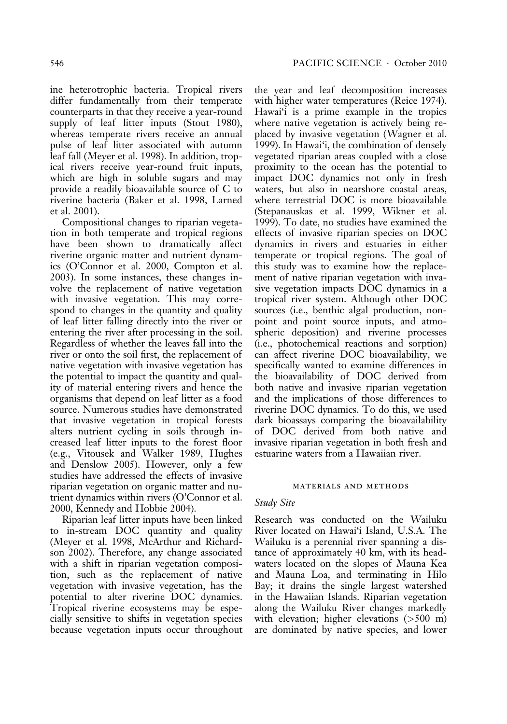ine heterotrophic bacteria. Tropical rivers differ fundamentally from their temperate counterparts in that they receive a year-round supply of leaf litter inputs (Stout 1980), whereas temperate rivers receive an annual pulse of leaf litter associated with autumn leaf fall (Meyer et al. 1998). In addition, tropical rivers receive year-round fruit inputs, which are high in soluble sugars and may provide a readily bioavailable source of C to riverine bacteria (Baker et al. 1998, Larned et al. 2001).

Compositional changes to riparian vegetation in both temperate and tropical regions have been shown to dramatically affect riverine organic matter and nutrient dynamics (O'Connor et al. 2000, Compton et al. 2003). In some instances, these changes involve the replacement of native vegetation with invasive vegetation. This may correspond to changes in the quantity and quality of leaf litter falling directly into the river or entering the river after processing in the soil. Regardless of whether the leaves fall into the river or onto the soil first, the replacement of native vegetation with invasive vegetation has the potential to impact the quantity and quality of material entering rivers and hence the organisms that depend on leaf litter as a food source. Numerous studies have demonstrated that invasive vegetation in tropical forests alters nutrient cycling in soils through increased leaf litter inputs to the forest floor (e.g., Vitousek and Walker 1989, Hughes and Denslow 2005). However, only a few studies have addressed the effects of invasive riparian vegetation on organic matter and nutrient dynamics within rivers (O'Connor et al. 2000, Kennedy and Hobbie 2004).

Riparian leaf litter inputs have been linked to in-stream DOC quantity and quality (Meyer et al. 1998, McArthur and Richardson 2002). Therefore, any change associated with a shift in riparian vegetation composition, such as the replacement of native vegetation with invasive vegetation, has the potential to alter riverine DOC dynamics. Tropical riverine ecosystems may be especially sensitive to shifts in vegetation species because vegetation inputs occur throughout the year and leaf decomposition increases with higher water temperatures (Reice 1974). Hawai'i is a prime example in the tropics where native vegetation is actively being replaced by invasive vegetation (Wagner et al. 1999). In Hawai'i, the combination of densely vegetated riparian areas coupled with a close proximity to the ocean has the potential to impact DOC dynamics not only in fresh waters, but also in nearshore coastal areas, where terrestrial DOC is more bioavailable (Stepanauskas et al. 1999, Wikner et al. 1999). To date, no studies have examined the effects of invasive riparian species on DOC dynamics in rivers and estuaries in either temperate or tropical regions. The goal of this study was to examine how the replacement of native riparian vegetation with invasive vegetation impacts DOC dynamics in a tropical river system. Although other DOC sources (i.e., benthic algal production, nonpoint and point source inputs, and atmospheric deposition) and riverine processes (i.e., photochemical reactions and sorption) can affect riverine DOC bioavailability, we specifically wanted to examine differences in the bioavailability of DOC derived from both native and invasive riparian vegetation and the implications of those differences to riverine DOC dynamics. To do this, we used dark bioassays comparing the bioavailability of DOC derived from both native and invasive riparian vegetation in both fresh and estuarine waters from a Hawaiian river.

### materials and methods

### Study Site

Research was conducted on the Wailuku River located on Hawai'i Island, U.S.A. The Wailuku is a perennial river spanning a distance of approximately 40 km, with its headwaters located on the slopes of Mauna Kea and Mauna Loa, and terminating in Hilo Bay; it drains the single largest watershed in the Hawaiian Islands. Riparian vegetation along the Wailuku River changes markedly with elevation; higher elevations (>500 m) are dominated by native species, and lower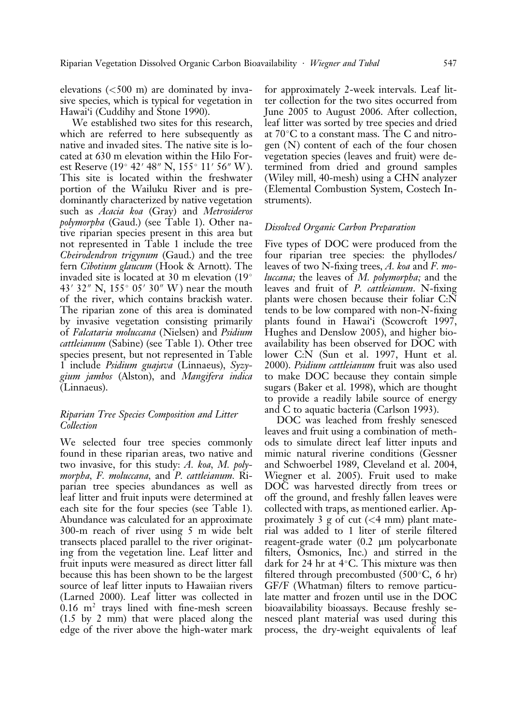elevations  $(<500 \text{ m})$  are dominated by invasive species, which is typical for vegetation in Hawai'i (Cuddihy and Stone 1990).

We established two sites for this research, which are referred to here subsequently as native and invaded sites. The native site is located at 630 m elevation within the Hilo Forest Reserve (19° 42′ 48″ N, 155° 11′ 56″ W). This site is located within the freshwater portion of the Wailuku River and is predominantly characterized by native vegetation such as Acacia koa (Gray) and Metrosideros polymorpha (Gaud.) (see Table 1). Other native riparian species present in this area but not represented in Table 1 include the tree Cheirodendron trigynum (Gaud.) and the tree fern Cibotium glaucum (Hook & Arnott). The invaded site is located at 30 m elevation (19 43' 32" N,  $155^{\circ}$  05' 30" W) near the mouth of the river, which contains brackish water. The riparian zone of this area is dominated by invasive vegetation consisting primarily of Falcataria moluccana (Nielsen) and Psidium cattleianum (Sabine) (see Table 1). Other tree species present, but not represented in Table 1 include Psidium guajava (Linnaeus), Syzygium jambos (Alston), and Mangifera indica (Linnaeus).

# Riparian Tree Species Composition and Litter Collection

We selected four tree species commonly found in these riparian areas, two native and two invasive, for this study: A. koa, M. polymorpha, F. moluccana, and P. cattleianum. Riparian tree species abundances as well as leaf litter and fruit inputs were determined at each site for the four species (see Table 1). Abundance was calculated for an approximate 300-m reach of river using 5 m wide belt transects placed parallel to the river originating from the vegetation line. Leaf litter and fruit inputs were measured as direct litter fall because this has been shown to be the largest source of leaf litter inputs to Hawaiian rivers (Larned 2000). Leaf litter was collected in  $0.16$  m<sup>2</sup> trays lined with fine-mesh screen (1.5 by 2 mm) that were placed along the edge of the river above the high-water mark

for approximately 2-week intervals. Leaf litter collection for the two sites occurred from June 2005 to August 2006. After collection, leaf litter was sorted by tree species and dried at 70 C to a constant mass. The C and nitrogen (N) content of each of the four chosen vegetation species (leaves and fruit) were determined from dried and ground samples (Wiley mill, 40-mesh) using a CHN analyzer (Elemental Combustion System, Costech Instruments).

# Dissolved Organic Carbon Preparation

Five types of DOC were produced from the four riparian tree species: the phyllodes/ leaves of two N-fixing trees, A. koa and F. moluccana; the leaves of M. polymorpha; and the leaves and fruit of P. cattleianum. N-fixing plants were chosen because their foliar C:N tends to be low compared with non-N-fixing plants found in Hawai'i (Scowcroft 1997, Hughes and Denslow 2005), and higher bioavailability has been observed for DOC with lower C:N (Sun et al. 1997, Hunt et al. 2000). Psidium cattleianum fruit was also used to make DOC because they contain simple sugars (Baker et al. 1998), which are thought to provide a readily labile source of energy and C to aquatic bacteria (Carlson 1993).

DOC was leached from freshly senesced leaves and fruit using a combination of methods to simulate direct leaf litter inputs and mimic natural riverine conditions (Gessner and Schwoerbel 1989, Cleveland et al. 2004, Wiegner et al. 2005). Fruit used to make DOC was harvested directly from trees or off the ground, and freshly fallen leaves were collected with traps, as mentioned earlier. Approximately 3 g of cut  $(<$  4 mm) plant material was added to 1 liter of sterile filtered reagent-grade water (0.2 µm polycarbonate filters, Osmonics, Inc.) and stirred in the dark for 24 hr at 4 C. This mixture was then filtered through precombusted (500 C, 6 hr) GF/F (Whatman) filters to remove particulate matter and frozen until use in the DOC bioavailability bioassays. Because freshly senesced plant material was used during this process, the dry-weight equivalents of leaf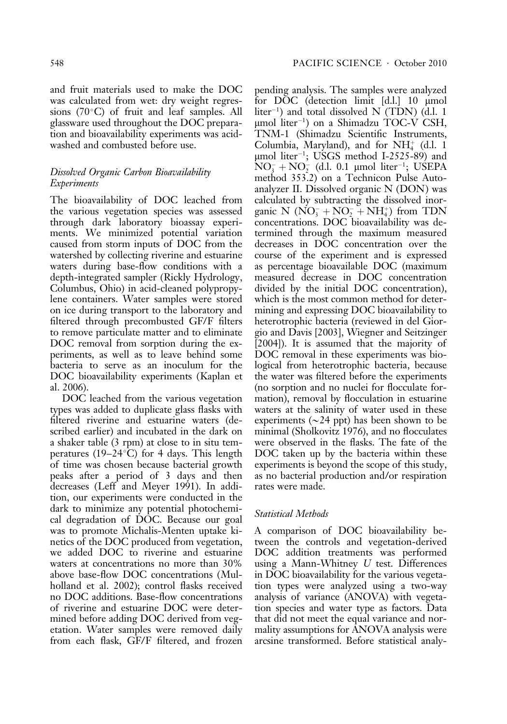and fruit materials used to make the DOC was calculated from wet: dry weight regressions (70 C) of fruit and leaf samples. All glassware used throughout the DOC preparation and bioavailability experiments was acidwashed and combusted before use.

# Dissolved Organic Carbon Bioavailability Experiments

The bioavailability of DOC leached from the various vegetation species was assessed through dark laboratory bioassay experiments. We minimized potential variation caused from storm inputs of DOC from the watershed by collecting riverine and estuarine waters during base-flow conditions with a depth-integrated sampler (Rickly Hydrology, Columbus, Ohio) in acid-cleaned polypropylene containers. Water samples were stored on ice during transport to the laboratory and filtered through precombusted GF/F filters to remove particulate matter and to eliminate DOC removal from sorption during the experiments, as well as to leave behind some bacteria to serve as an inoculum for the DOC bioavailability experiments (Kaplan et al. 2006).

DOC leached from the various vegetation types was added to duplicate glass flasks with filtered riverine and estuarine waters (described earlier) and incubated in the dark on a shaker table (3 rpm) at close to in situ temperatures (19–24 C) for 4 days. This length of time was chosen because bacterial growth peaks after a period of 3 days and then decreases (Leff and Meyer 1991). In addition, our experiments were conducted in the dark to minimize any potential photochemical degradation of DOC. Because our goal was to promote Michalis-Menten uptake kinetics of the DOC produced from vegetation, we added DOC to riverine and estuarine waters at concentrations no more than 30% above base-flow DOC concentrations (Mulholland et al. 2002); control flasks received no DOC additions. Base-flow concentrations of riverine and estuarine DOC were determined before adding DOC derived from vegetation. Water samples were removed daily from each flask, GF/F filtered, and frozen

pending analysis. The samples were analyzed for DOC (detection limit [d.l.] 10 mmol liter-1 ) and total dissolved N (TDN) (d.l. 1 mmol liter-1 ) on a Shimadzu TOC-V CSH, TNM-1 (Shimadzu Scientific Instruments, Columbia, Maryland), and for  $NH_4^+$  (d.l. 1 mmol liter-1 ; USGS method I-2525-89) and  $NO_3^- + NO_2^-$  (d.l. 0.1 µmol liter<sup>-1</sup>; USEPA method 353.2) on a Technicon Pulse Autoanalyzer II. Dissolved organic N (DON) was calculated by subtracting the dissolved inorganic N  $(NO_3^- + NO_2^- + NH_4^+)$  from TDN concentrations. DOC bioavailability was determined through the maximum measured decreases in DOC concentration over the course of the experiment and is expressed as percentage bioavailable DOC (maximum measured decrease in DOC concentration divided by the initial DOC concentration), which is the most common method for determining and expressing DOC bioavailability to heterotrophic bacteria (reviewed in del Giorgio and Davis [2003], Wiegner and Seitzinger [2004]). It is assumed that the majority of DOC removal in these experiments was biological from heterotrophic bacteria, because the water was filtered before the experiments (no sorption and no nuclei for flocculate formation), removal by flocculation in estuarine waters at the salinity of water used in these experiments ( $\sim$ 24 ppt) has been shown to be minimal (Sholkovitz 1976), and no flocculates were observed in the flasks. The fate of the DOC taken up by the bacteria within these experiments is beyond the scope of this study, as no bacterial production and/or respiration rates were made.

# Statistical Methods

A comparison of DOC bioavailability between the controls and vegetation-derived DOC addition treatments was performed using a Mann-Whitney U test. Differences in DOC bioavailability for the various vegetation types were analyzed using a two-way analysis of variance (ANOVA) with vegetation species and water type as factors. Data that did not meet the equal variance and normality assumptions for ANOVA analysis were arcsine transformed. Before statistical analy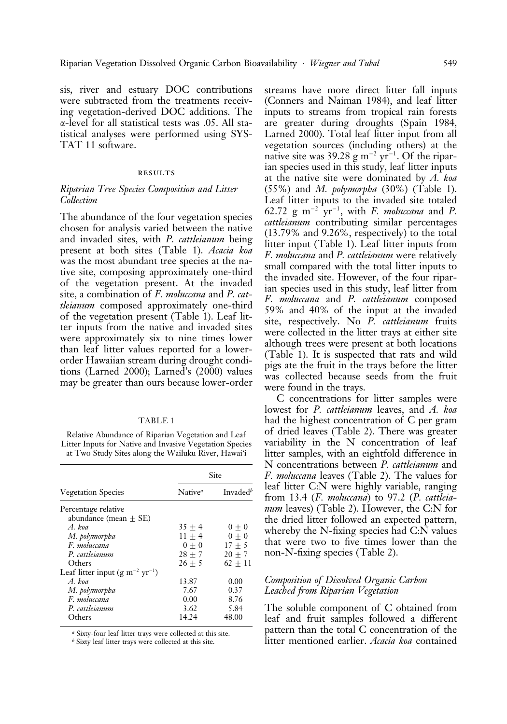sis, river and estuary DOC contributions were subtracted from the treatments receiving vegetation-derived DOC additions. The *a*-level for all statistical tests was .05. All statistical analyses were performed using SYS-TAT 11 software.

### results

### Riparian Tree Species Composition and Litter Collection

The abundance of the four vegetation species chosen for analysis varied between the native and invaded sites, with *P. cattleianum* being present at both sites (Table 1). Acacia koa was the most abundant tree species at the native site, composing approximately one-third of the vegetation present. At the invaded site, a combination of F. moluccana and P. cattleianum composed approximately one-third of the vegetation present (Table 1). Leaf litter inputs from the native and invaded sites were approximately six to nine times lower than leaf litter values reported for a lowerorder Hawaiian stream during drought conditions (Larned 2000); Larned's (2000) values may be greater than ours because lower-order

#### TABLE 1

Relative Abundance of Riparian Vegetation and Leaf Litter Inputs for Native and Invasive Vegetation Species at Two Study Sites along the Wailuku River, Hawai'i

|                                                | Site                |                      |  |  |
|------------------------------------------------|---------------------|----------------------|--|--|
| <b>Vegetation Species</b>                      | Native <sup>a</sup> | Invaded <sup>b</sup> |  |  |
| Percentage relative<br>abundance (mean $+$ SE) |                     |                      |  |  |
| A. koa                                         | $35 + 4$            | $0 + 0$              |  |  |
| M. polymorpha                                  | $11 + 4$            | $0 + 0$              |  |  |
| F. moluccana                                   | $0 + 0$             | $17 + 5$             |  |  |
| P. cattleianum                                 | $28 + 7$            | $20 + 7$             |  |  |
| Others                                         | $26 + 5$            | $62 + 11$            |  |  |
| Leaf litter input $(g m^{-2} yr^{-1})$         |                     |                      |  |  |
| A koa                                          | 13.87               | 0.00                 |  |  |
| M. polymorpha                                  | 7.67                | 0.37                 |  |  |
| F. moluccana                                   | 0.00                | 8.76                 |  |  |
| P. cattleianum                                 | 3.62                | 5.84                 |  |  |
| Others                                         | 14.24               | 48.00                |  |  |

<sup>a</sup> Sixty-four leaf litter trays were collected at this site.

 $b$  Sixty leaf litter trays were collected at this site.

streams have more direct litter fall inputs (Conners and Naiman 1984), and leaf litter inputs to streams from tropical rain forests are greater during droughts (Spain 1984, Larned 2000). Total leaf litter input from all vegetation sources (including others) at the native site was 39.28  $\rm g~m^{-2}~yr^{-1}$ . Of the riparian species used in this study, leaf litter inputs at the native site were dominated by A. koa  $(55\%)$  and M. polymorpha  $(30\%)$  (Table 1). Leaf litter inputs to the invaded site totaled 62.72  $\text{g m}^{-2} \text{ yr}^{-1}$ , with *F. moluccana* and *P.* cattleianum contributing similar percentages  $(13.79\%$  and  $9.26\%$ , respectively) to the total litter input (Table 1). Leaf litter inputs from F. moluccana and P. cattleianum were relatively small compared with the total litter inputs to the invaded site. However, of the four riparian species used in this study, leaf litter from F. moluccana and P. cattleianum composed 59% and 40% of the input at the invaded site, respectively. No P. cattleianum fruits were collected in the litter trays at either site although trees were present at both locations (Table 1). It is suspected that rats and wild pigs ate the fruit in the trays before the litter was collected because seeds from the fruit were found in the trays.

C concentrations for litter samples were lowest for P. cattleianum leaves, and A. koa had the highest concentration of C per gram of dried leaves (Table 2). There was greater variability in the N concentration of leaf litter samples, with an eightfold difference in N concentrations between P. cattleianum and F. moluccana leaves (Table 2). The values for leaf litter C:N were highly variable, ranging from 13.4 (*F. moluccana*) to 97.2 (*P. cattleia*num leaves) (Table 2). However, the C:N for the dried litter followed an expected pattern, whereby the N-fixing species had C:N values that were two to five times lower than the non-N-fixing species (Table 2).

## Composition of Dissolved Organic Carbon Leached from Riparian Vegetation

The soluble component of C obtained from leaf and fruit samples followed a different pattern than the total C concentration of the litter mentioned earlier. Acacia koa contained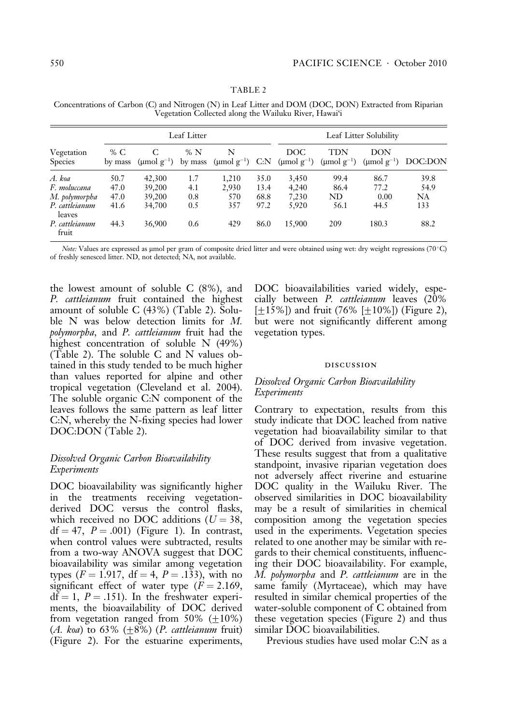|                              | Leaf Litter      |                  |               |                           | Leaf Litter Solubility |                        |                        |                         |           |
|------------------------------|------------------|------------------|---------------|---------------------------|------------------------|------------------------|------------------------|-------------------------|-----------|
| Vegetation<br><b>Species</b> | % $C$<br>by mass | (umol $g^{-1}$ ) | %N<br>by mass | N<br>(µmol $g^{-1}$ ) C:N |                        | DOC<br>$\pmod{g^{-1}}$ | TDN<br>$\pmod{g^{-1}}$ | DON<br>(umol $g^{-1}$ ) | DOC:DON   |
| A. koa                       | 50.7             | 42,300           | 1.7           | 1.210                     | 35.0                   | 3.450                  | 99.4                   | 86.7                    | 39.8      |
| F. moluccana                 | 47.0             | 39,200           | 4.1           | 2,930                     | 13.4                   | 4.240                  | 86.4                   | 77.2                    | 54.9      |
| M. polymorpha                | 47.0             | 39,200           | 0.8           | 570                       | 68.8                   | 7,230                  | ND                     | 0.00                    | <b>NA</b> |
| P. cattleianum<br>leaves     | 41.6             | 34,700           | 0.5           | 357                       | 97.2                   | 5,920                  | 56.1                   | 44.5                    | 133       |
| P. cattleianum<br>fruit      | 44.3             | 36,900           | 0.6           | 429                       | 86.0                   | 15,900                 | 209                    | 180.3                   | 88.2      |

TABLE 2 Concentrations of Carbon (C) and Nitrogen (N) in Leaf Litter and DOM (DOC, DON) Extracted from Riparian Vegetation Collected along the Wailuku River, Hawai'i

Note: Values are expressed as µmol per gram of composite dried litter and were obtained using wet: dry weight regressions (70°C) of freshly senesced litter. ND, not detected; NA, not available.

the lowest amount of soluble C (8%), and P. *cattleianum* fruit contained the highest amount of soluble C (43%) (Table 2). Soluble N was below detection limits for M. polymorpha, and P. cattleianum fruit had the highest concentration of soluble N (49%) (Table 2). The soluble C and N values obtained in this study tended to be much higher than values reported for alpine and other tropical vegetation (Cleveland et al. 2004). The soluble organic C:N component of the leaves follows the same pattern as leaf litter C:N, whereby the N-fixing species had lower DOC:DON (Table 2).

# Dissolved Organic Carbon Bioavailability Experiments

DOC bioavailability was significantly higher in the treatments receiving vegetationderived DOC versus the control flasks, which received no DOC additions ( $U = 38$ ,  $df = 47$ ,  $P = .001$ ) (Figure 1). In contrast, when control values were subtracted, results from a two-way ANOVA suggest that DOC bioavailability was similar among vegetation types ( $F = 1.917$ , df = 4,  $P = .133$ ), with no significant effect of water type  $(F = 2.169)$ ,  $df = 1$ ,  $P = .151$ ). In the freshwater experiments, the bioavailability of DOC derived from vegetation ranged from 50%  $(\pm 10\%)$ (A. koa) to 63%  $(\pm 8\%)$  (P. cattleianum fruit) (Figure 2). For the estuarine experiments, DOC bioavailabilities varied widely, especially between P. cattleianum leaves (20%  $[+15\%]$ ) and fruit (76%  $[+10\%]$ ) (Figure 2), but were not significantly different among vegetation types.

#### discussion

# Dissolved Organic Carbon Bioavailability Experiments

Contrary to expectation, results from this study indicate that DOC leached from native vegetation had bioavailability similar to that of DOC derived from invasive vegetation. These results suggest that from a qualitative standpoint, invasive riparian vegetation does not adversely affect riverine and estuarine DOC quality in the Wailuku River. The observed similarities in DOC bioavailability may be a result of similarities in chemical composition among the vegetation species used in the experiments. Vegetation species related to one another may be similar with regards to their chemical constituents, influencing their DOC bioavailability. For example, M. *polymorpha* and P. *cattleianum* are in the same family (Myrtaceae), which may have resulted in similar chemical properties of the water-soluble component of C obtained from these vegetation species (Figure 2) and thus similar DOC bioavailabilities.

Previous studies have used molar C:N as a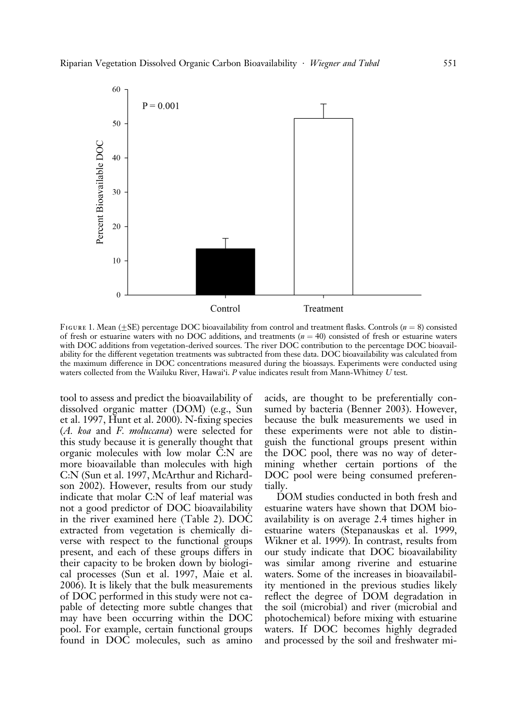

FIGURE 1. Mean ( $\pm$ SE) percentage DOC bioavailability from control and treatment flasks. Controls ( $n = 8$ ) consisted of fresh or estuarine waters with no DOC additions, and treatments  $(n = 40)$  consisted of fresh or estuarine waters with DOC additions from vegetation-derived sources. The river DOC contribution to the percentage DOC bioavailability for the different vegetation treatments was subtracted from these data. DOC bioavailability was calculated from the maximum difference in DOC concentrations measured during the bioassays. Experiments were conducted using waters collected from the Wailuku River, Hawai'i. P value indicates result from Mann-Whitney U test.

tool to assess and predict the bioavailability of dissolved organic matter (DOM) (e.g., Sun et al. 1997, Hunt et al. 2000). N-fixing species (A. koa and F. moluccana) were selected for this study because it is generally thought that organic molecules with low molar C:N are more bioavailable than molecules with high C:N (Sun et al. 1997, McArthur and Richardson 2002). However, results from our study indicate that molar C:N of leaf material was not a good predictor of DOC bioavailability in the river examined here (Table 2). DOC extracted from vegetation is chemically diverse with respect to the functional groups present, and each of these groups differs in their capacity to be broken down by biological processes (Sun et al. 1997, Maie et al. 2006). It is likely that the bulk measurements of DOC performed in this study were not capable of detecting more subtle changes that may have been occurring within the DOC pool. For example, certain functional groups found in DOC molecules, such as amino

acids, are thought to be preferentially consumed by bacteria (Benner 2003). However, because the bulk measurements we used in these experiments were not able to distinguish the functional groups present within the DOC pool, there was no way of determining whether certain portions of the DOC pool were being consumed preferentially.

DOM studies conducted in both fresh and estuarine waters have shown that DOM bioavailability is on average 2.4 times higher in estuarine waters (Stepanauskas et al. 1999, Wikner et al. 1999). In contrast, results from our study indicate that DOC bioavailability was similar among riverine and estuarine waters. Some of the increases in bioavailability mentioned in the previous studies likely reflect the degree of DOM degradation in the soil (microbial) and river (microbial and photochemical) before mixing with estuarine waters. If DOC becomes highly degraded and processed by the soil and freshwater mi-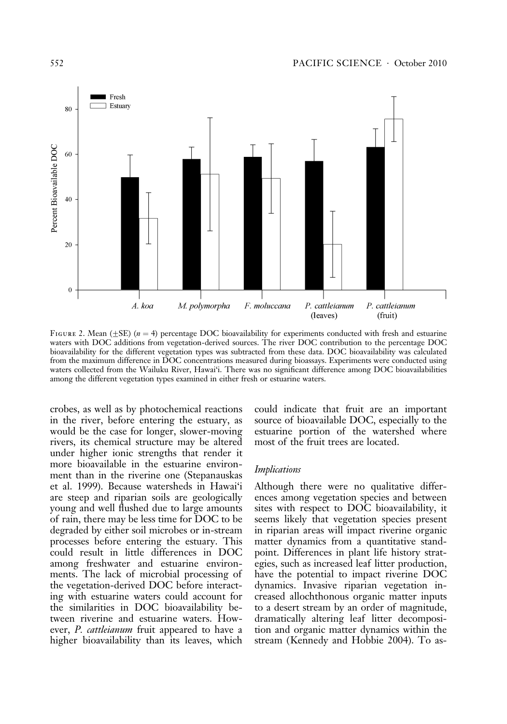

FIGURE 2. Mean ( $\pm$ SE) (n = 4) percentage DOC bioavailability for experiments conducted with fresh and estuarine waters with DOC additions from vegetation-derived sources. The river DOC contribution to the percentage DOC bioavailability for the different vegetation types was subtracted from these data. DOC bioavailability was calculated from the maximum difference in DOC concentrations measured during bioassays. Experiments were conducted using waters collected from the Wailuku River, Hawai'i. There was no significant difference among DOC bioavailabilities among the different vegetation types examined in either fresh or estuarine waters.

crobes, as well as by photochemical reactions in the river, before entering the estuary, as would be the case for longer, slower-moving rivers, its chemical structure may be altered under higher ionic strengths that render it more bioavailable in the estuarine environment than in the riverine one (Stepanauskas et al. 1999). Because watersheds in Hawai'i are steep and riparian soils are geologically young and well flushed due to large amounts of rain, there may be less time for DOC to be degraded by either soil microbes or in-stream processes before entering the estuary. This could result in little differences in DOC among freshwater and estuarine environments. The lack of microbial processing of the vegetation-derived DOC before interacting with estuarine waters could account for the similarities in DOC bioavailability between riverine and estuarine waters. However, *P. cattleianum* fruit appeared to have a higher bioavailability than its leaves, which

could indicate that fruit are an important source of bioavailable DOC, especially to the estuarine portion of the watershed where most of the fruit trees are located.

### Implications

Although there were no qualitative differences among vegetation species and between sites with respect to DOC bioavailability, it seems likely that vegetation species present in riparian areas will impact riverine organic matter dynamics from a quantitative standpoint. Differences in plant life history strategies, such as increased leaf litter production, have the potential to impact riverine DOC dynamics. Invasive riparian vegetation increased allochthonous organic matter inputs to a desert stream by an order of magnitude, dramatically altering leaf litter decomposition and organic matter dynamics within the stream (Kennedy and Hobbie 2004). To as-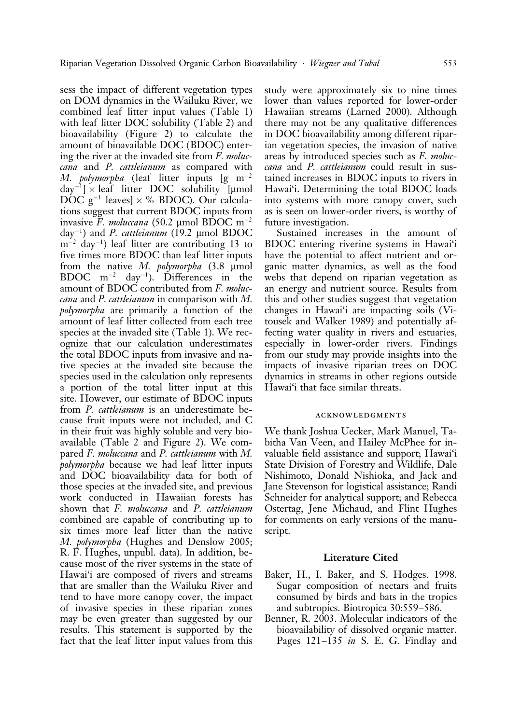sess the impact of different vegetation types on DOM dynamics in the Wailuku River, we combined leaf litter input values (Table 1) with leaf litter DOC solubility (Table 2) and bioavailability (Figure 2) to calculate the amount of bioavailable DOC (BDOC) entering the river at the invaded site from F. moluccana and P. cattleianum as compared with *M. polymorpha* (leaf litter inputs  $[g \ m^{-2}]$  $day^{-1}$  × leaf litter DOC solubility [µmol  $\rm{DOC}$   $\rm{g}^{-1}$  leaves]  $\times$  % BDOC). Our calculations suggest that current BDOC inputs from invasive F. moluccana (50.2 µmol BDOC m<sup>-2</sup> day<sup>-1</sup>) and P. cattleianum (19.2 µmol BDOC m-<sup>2</sup> day-1 ) leaf litter are contributing 13 to five times more BDOC than leaf litter inputs from the native  $M$ . polymorpha  $(3.8 \text{ \mu} \text{mol})$ BDOC  $m^{-2}$  day<sup>-1</sup>). Differences in the amount of BDOC contributed from F. moluccana and P. cattleianum in comparison with M. polymorpha are primarily a function of the amount of leaf litter collected from each tree species at the invaded site (Table 1). We recognize that our calculation underestimates the total BDOC inputs from invasive and native species at the invaded site because the species used in the calculation only represents a portion of the total litter input at this site. However, our estimate of BDOC inputs from P. cattleianum is an underestimate because fruit inputs were not included, and C in their fruit was highly soluble and very bioavailable (Table 2 and Figure 2). We compared F. moluccana and P. cattleianum with M. polymorpha because we had leaf litter inputs and DOC bioavailability data for both of those species at the invaded site, and previous work conducted in Hawaiian forests has shown that F. moluccana and P. cattleianum combined are capable of contributing up to six times more leaf litter than the native M. polymorpha (Hughes and Denslow 2005; R. F. Hughes, unpubl. data). In addition, because most of the river systems in the state of Hawai'i are composed of rivers and streams that are smaller than the Wailuku River and tend to have more canopy cover, the impact of invasive species in these riparian zones may be even greater than suggested by our results. This statement is supported by the fact that the leaf litter input values from this

study were approximately six to nine times lower than values reported for lower-order Hawaiian streams (Larned 2000). Although there may not be any qualitative differences in DOC bioavailability among different riparian vegetation species, the invasion of native areas by introduced species such as F. moluccana and P. cattleianum could result in sustained increases in BDOC inputs to rivers in Hawai'i. Determining the total BDOC loads into systems with more canopy cover, such as is seen on lower-order rivers, is worthy of future investigation.

Sustained increases in the amount of BDOC entering riverine systems in Hawai'i have the potential to affect nutrient and organic matter dynamics, as well as the food webs that depend on riparian vegetation as an energy and nutrient source. Results from this and other studies suggest that vegetation changes in Hawai'i are impacting soils (Vitousek and Walker 1989) and potentially affecting water quality in rivers and estuaries, especially in lower-order rivers. Findings from our study may provide insights into the impacts of invasive riparian trees on DOC dynamics in streams in other regions outside Hawai'i that face similar threats.

#### acknowledgments

We thank Joshua Uecker, Mark Manuel, Tabitha Van Veen, and Hailey McPhee for invaluable field assistance and support; Hawai'i State Division of Forestry and Wildlife, Dale Nishimoto, Donald Nishioka, and Jack and Jane Stevenson for logistical assistance; Randi Schneider for analytical support; and Rebecca Ostertag, Jene Michaud, and Flint Hughes for comments on early versions of the manuscript.

### Literature Cited

- Baker, H., I. Baker, and S. Hodges. 1998. Sugar composition of nectars and fruits consumed by birds and bats in the tropics and subtropics. Biotropica 30:559–586.
- Benner, R. 2003. Molecular indicators of the bioavailability of dissolved organic matter. Pages 121–135 *in* S. E. G. Findlay and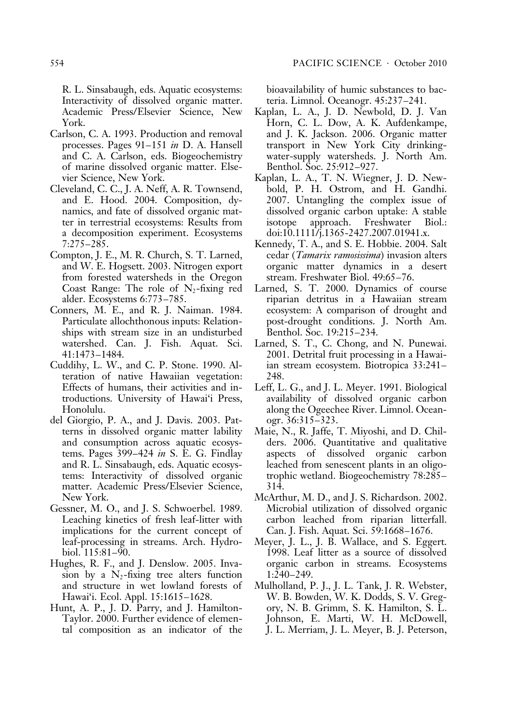R. L. Sinsabaugh, eds. Aquatic ecosystems: Interactivity of dissolved organic matter. Academic Press/Elsevier Science, New York.

- Carlson, C. A. 1993. Production and removal processes. Pages 91–151 in D. A. Hansell and C. A. Carlson, eds. Biogeochemistry of marine dissolved organic matter. Elsevier Science, New York.
- Cleveland, C. C., J. A. Neff, A. R. Townsend, and E. Hood. 2004. Composition, dynamics, and fate of dissolved organic matter in terrestrial ecosystems: Results from a decomposition experiment. Ecosystems 7:275–285.
- Compton, J. E., M. R. Church, S. T. Larned, and W. E. Hogsett. 2003. Nitrogen export from forested watersheds in the Oregon Coast Range: The role of  $N_2$ -fixing red alder. Ecosystems 6:773–785.
- Conners, M. E., and R. J. Naiman. 1984. Particulate allochthonous inputs: Relationships with stream size in an undisturbed watershed. Can. J. Fish. Aquat. Sci. 41:1473–1484.
- Cuddihy, L. W., and C. P. Stone. 1990. Alteration of native Hawaiian vegetation: Effects of humans, their activities and introductions. University of Hawai'i Press, Honolulu.
- del Giorgio, P. A., and J. Davis. 2003. Patterns in dissolved organic matter lability and consumption across aquatic ecosystems. Pages 399–424 in S. E. G. Findlay and R. L. Sinsabaugh, eds. Aquatic ecosystems: Interactivity of dissolved organic matter. Academic Press/Elsevier Science, New York.
- Gessner, M. O., and J. S. Schwoerbel. 1989. Leaching kinetics of fresh leaf-litter with implications for the current concept of leaf-processing in streams. Arch. Hydrobiol. 115:81–90.
- Hughes, R. F., and J. Denslow. 2005. Invasion by a  $N_2$ -fixing tree alters function and structure in wet lowland forests of Hawai'i. Ecol. Appl. 15:1615–1628.
- Hunt, A. P., J. D. Parry, and J. Hamilton-Taylor. 2000. Further evidence of elemental composition as an indicator of the

bioavailability of humic substances to bacteria. Limnol. Oceanogr. 45:237–241.

- Kaplan, L. A., J. D. Newbold, D. J. Van Horn, C. L. Dow, A. K. Aufdenkampe, and J. K. Jackson. 2006. Organic matter transport in New York City drinkingwater-supply watersheds. J. North Am. Benthol. Soc. 25:912–927.
- Kaplan, L. A., T. N. Wiegner, J. D. Newbold, P. H. Ostrom, and H. Gandhi. 2007. Untangling the complex issue of dissolved organic carbon uptake: A stable isotope approach. Freshwater Biol.: doi:10.1111/j.1365-2427.2007.01941.x.
- Kennedy, T. A., and S. E. Hobbie. 2004. Salt cedar (Tamarix ramosissima) invasion alters organic matter dynamics in a desert stream. Freshwater Biol. 49:65–76.
- Larned, S. T. 2000. Dynamics of course riparian detritus in a Hawaiian stream ecosystem: A comparison of drought and post-drought conditions. J. North Am. Benthol. Soc. 19:215–234.
- Larned, S. T., C. Chong, and N. Punewai. 2001. Detrital fruit processing in a Hawaiian stream ecosystem. Biotropica 33:241– 248.
- Leff, L. G., and J. L. Meyer. 1991. Biological availability of dissolved organic carbon along the Ogeechee River. Limnol. Oceanogr. 36:315–323.
- Maie, N., R. Jaffe, T. Miyoshi, and D. Childers. 2006. Quantitative and qualitative aspects of dissolved organic carbon leached from senescent plants in an oligotrophic wetland. Biogeochemistry 78:285– 314.
- McArthur, M. D., and J. S. Richardson. 2002. Microbial utilization of dissolved organic carbon leached from riparian litterfall. Can. J. Fish. Aquat. Sci. 59:1668–1676.
- Meyer, J. L., J. B. Wallace, and S. Eggert. 1998. Leaf litter as a source of dissolved organic carbon in streams. Ecosystems 1:240–249.
- Mulholland, P. J., J. L. Tank, J. R. Webster, W. B. Bowden, W. K. Dodds, S. V. Gregory, N. B. Grimm, S. K. Hamilton, S. L. Johnson, E. Marti, W. H. McDowell, J. L. Merriam, J. L. Meyer, B. J. Peterson,